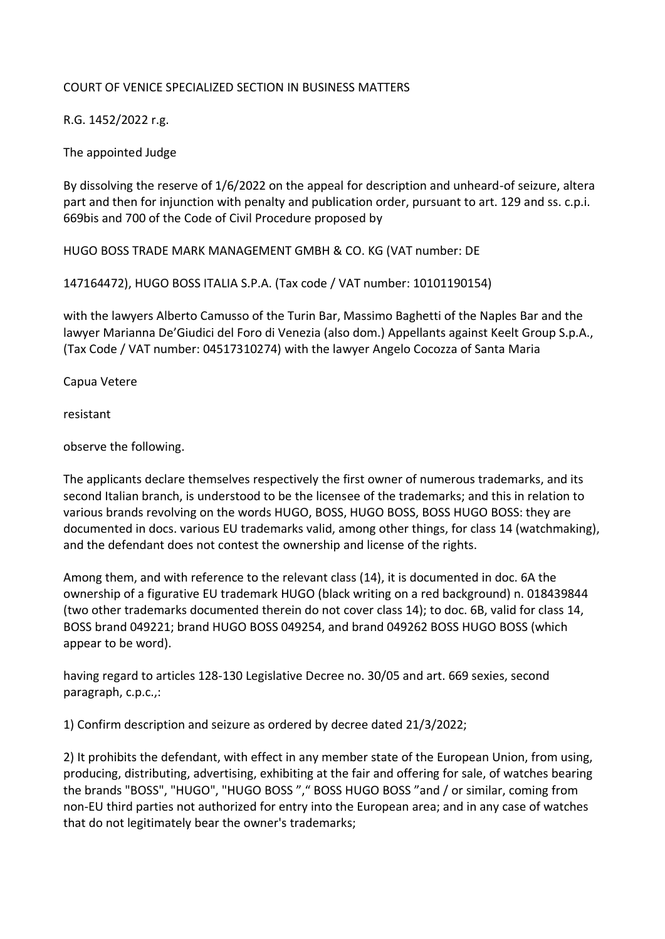## COURT OF VENICE SPECIALIZED SECTION IN BUSINESS MATTERS

R.G. 1452/2022 r.g.

The appointed Judge

By dissolving the reserve of 1/6/2022 on the appeal for description and unheard-of seizure, altera part and then for injunction with penalty and publication order, pursuant to art. 129 and ss. c.p.i. 669bis and 700 of the Code of Civil Procedure proposed by

HUGO BOSS TRADE MARK MANAGEMENT GMBH & CO. KG (VAT number: DE

147164472), HUGO BOSS ITALIA S.P.A. (Tax code / VAT number: 10101190154)

with the lawyers Alberto Camusso of the Turin Bar, Massimo Baghetti of the Naples Bar and the lawyer Marianna De'Giudici del Foro di Venezia (also dom.) Appellants against Keelt Group S.p.A., (Tax Code / VAT number: 04517310274) with the lawyer Angelo Cocozza of Santa Maria

Capua Vetere

resistant

observe the following.

The applicants declare themselves respectively the first owner of numerous trademarks, and its second Italian branch, is understood to be the licensee of the trademarks; and this in relation to various brands revolving on the words HUGO, BOSS, HUGO BOSS, BOSS HUGO BOSS: they are documented in docs. various EU trademarks valid, among other things, for class 14 (watchmaking), and the defendant does not contest the ownership and license of the rights.

Among them, and with reference to the relevant class (14), it is documented in doc. 6A the ownership of a figurative EU trademark HUGO (black writing on a red background) n. 018439844 (two other trademarks documented therein do not cover class 14); to doc. 6B, valid for class 14, BOSS brand 049221; brand HUGO BOSS 049254, and brand 049262 BOSS HUGO BOSS (which appear to be word).

having regard to articles 128-130 Legislative Decree no. 30/05 and art. 669 sexies, second paragraph, c.p.c.,:

1) Confirm description and seizure as ordered by decree dated 21/3/2022;

2) It prohibits the defendant, with effect in any member state of the European Union, from using, producing, distributing, advertising, exhibiting at the fair and offering for sale, of watches bearing the brands "BOSS", "HUGO", "HUGO BOSS "," BOSS HUGO BOSS "and / or similar, coming from non-EU third parties not authorized for entry into the European area; and in any case of watches that do not legitimately bear the owner's trademarks;